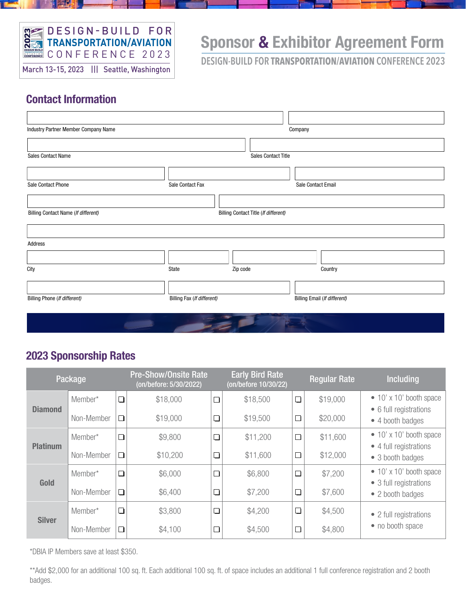

# Sponsor & Exhibitor Agreement Form

**DESIGN-BUILD FOR TRANSPORTATION/AVIATION CONFERENCE 2023**

### Contact Information

| Industry Partner Member Company Name |                            |                                      | Company                      |
|--------------------------------------|----------------------------|--------------------------------------|------------------------------|
|                                      |                            |                                      |                              |
| <b>Sales Contact Name</b>            |                            | Sales Contact Title                  |                              |
|                                      |                            |                                      |                              |
| Sale Contact Phone                   | Sale Contact Fax           |                                      | Sale Contact Email           |
|                                      |                            |                                      |                              |
| Billing Contact Name (If different)  |                            | Billing Contact Title (If different) |                              |
|                                      |                            |                                      |                              |
| Address                              |                            |                                      |                              |
|                                      |                            |                                      |                              |
| City                                 | State                      | Zip code                             | Country                      |
|                                      |                            |                                      |                              |
| Billing Phone (If different)         | Billing Fax (If different) |                                      | Billing Email (If different) |
|                                      |                            |                                      |                              |
|                                      |                            |                                      |                              |

#### 2023 Sponsorship Rates

|                 | Package    |        | <b>Pre-Show/Onsite Rate</b><br>(on/before: 5/30/2022) |        |          | <b>Early Bird Rate</b><br>(on/before 10/30/22) |          | <b>Including</b>                                                              |  |
|-----------------|------------|--------|-------------------------------------------------------|--------|----------|------------------------------------------------|----------|-------------------------------------------------------------------------------|--|
| <b>Diamond</b>  | Member*    | $\Box$ | \$18,000                                              | $\Box$ | \$18,500 | $\Box$                                         | \$19,000 | $\bullet$ 10' x 10' booth space                                               |  |
|                 | Non-Member | $\Box$ | \$19,000                                              | $\Box$ | \$19,500 | $\Box$                                         | \$20,000 | • 6 full registrations<br>• 4 booth badges                                    |  |
| <b>Platinum</b> | Member*    | $\Box$ | \$9,800                                               | $\Box$ | \$11,200 | $\Box$                                         | \$11,600 | $\bullet$ 10' x 10' booth space<br>• 4 full registrations<br>• 3 booth badges |  |
|                 | Non-Member | $\Box$ | \$10,200                                              | $\Box$ | \$11,600 | $\Box$                                         | \$12,000 |                                                                               |  |
| Gold            | Member*    | $\Box$ | \$6,000                                               | $\Box$ | \$6,800  | $\Box$                                         | \$7,200  | $\bullet$ 10' x 10' booth space<br>• 3 full registrations                     |  |
|                 | Non-Member | $\Box$ | \$6,400                                               | $\Box$ | \$7,200  | $\Box$                                         | \$7,600  | • 2 booth badges                                                              |  |
| <b>Silver</b>   | Member*    | $\Box$ | \$3,800                                               | $\Box$ | \$4,200  | $\Box$                                         | \$4,500  | • 2 full registrations                                                        |  |
|                 | Non-Member | $\Box$ | \$4,100                                               | $\Box$ | \$4,500  | $\Box$                                         | \$4,800  | • no booth space                                                              |  |

\*DBIA IP Members save at least \$350.

\*\*Add \$2,000 for an additional 100 sq. ft. Each additional 100 sq. ft. of space includes an additional 1 full conference registration and 2 booth badges.